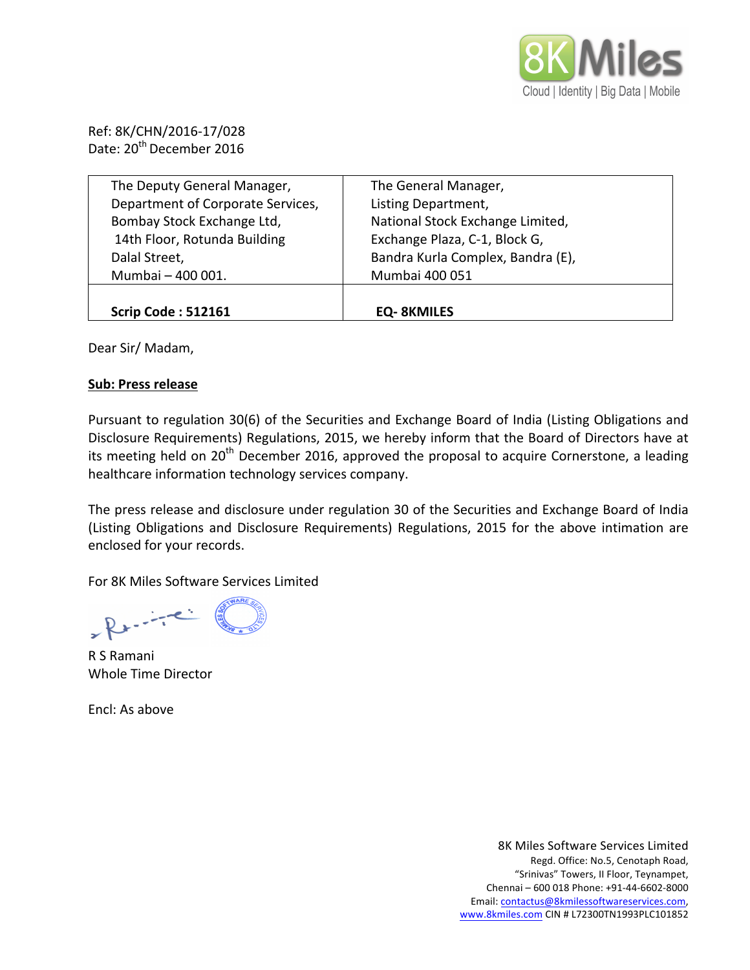

Ref: 8K/CHN/2016-17/028 Date: 20<sup>th</sup> December 2016

| The Deputy General Manager,       | The General Manager,              |
|-----------------------------------|-----------------------------------|
| Department of Corporate Services, | Listing Department,               |
| Bombay Stock Exchange Ltd,        | National Stock Exchange Limited,  |
| 14th Floor, Rotunda Building      | Exchange Plaza, C-1, Block G,     |
| Dalal Street,                     | Bandra Kurla Complex, Bandra (E), |
| Mumbai - 400 001.                 | Mumbai 400 051                    |
|                                   |                                   |
| <b>Scrip Code: 512161</b>         | <b>EQ-8KMILES</b>                 |

Dear Sir/ Madam,

## **Sub: Press release**

Pursuant to regulation 30(6) of the Securities and Exchange Board of India (Listing Obligations and Disclosure Requirements) Regulations, 2015, we hereby inform that the Board of Directors have at its meeting held on 20<sup>th</sup> December 2016, approved the proposal to acquire Cornerstone, a leading healthcare information technology services company.

The press release and disclosure under regulation 30 of the Securities and Exchange Board of India (Listing Obligations and Disclosure Requirements) Regulations, 2015 for the above intimation are enclosed for your records.

For 8K Miles Software Services Limited

 $-2$ 

R S Ramani Whole Time Director

Encl: As above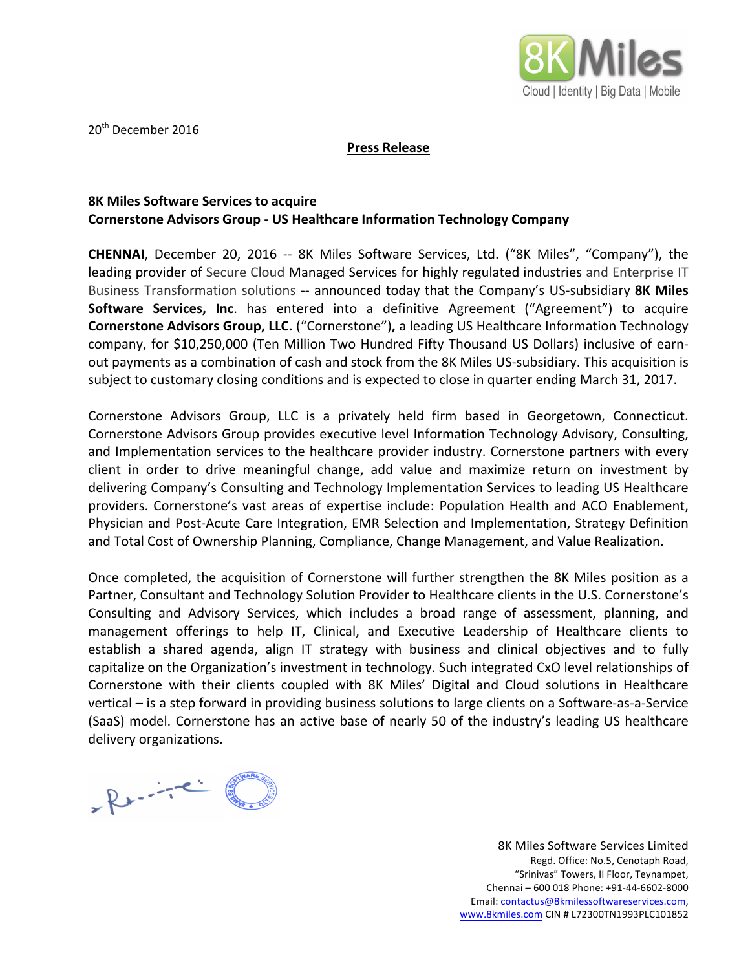

20<sup>th</sup> December 2016

**Press Release**

## **8K Miles Software Services to acquire Cornerstone Advisors Group - US Healthcare Information Technology Company**

**CHENNAI**, December 20, 2016 -- 8K Miles Software Services, Ltd. ("8K Miles", "Company"), the leading provider of Secure Cloud Managed Services for highly regulated industries and Enterprise IT Business Transformation solutions -- announced today that the Company's US-subsidiary **8K Miles Software Services, Inc.** has entered into a definitive Agreement ("Agreement") to acquire **Cornerstone Advisors Group, LLC.** ("Cornerstone"), a leading US Healthcare Information Technology company, for \$10,250,000 (Ten Million Two Hundred Fifty Thousand US Dollars) inclusive of earnout payments as a combination of cash and stock from the 8K Miles US-subsidiary. This acquisition is subject to customary closing conditions and is expected to close in quarter ending March 31, 2017.

Cornerstone Advisors Group, LLC is a privately held firm based in Georgetown, Connecticut. Cornerstone Advisors Group provides executive level Information Technology Advisory, Consulting, and Implementation services to the healthcare provider industry. Cornerstone partners with every client in order to drive meaningful change, add value and maximize return on investment by delivering Company's Consulting and Technology Implementation Services to leading US Healthcare providers. Cornerstone's vast areas of expertise include: Population Health and ACO Enablement, Physician and Post-Acute Care Integration, EMR Selection and Implementation, Strategy Definition and Total Cost of Ownership Planning, Compliance, Change Management, and Value Realization.

Once completed, the acquisition of Cornerstone will further strengthen the 8K Miles position as a Partner, Consultant and Technology Solution Provider to Healthcare clients in the U.S. Cornerstone's Consulting and Advisory Services, which includes a broad range of assessment, planning, and management offerings to help IT, Clinical, and Executive Leadership of Healthcare clients to establish a shared agenda, align IT strategy with business and clinical objectives and to fully capitalize on the Organization's investment in technology. Such integrated CxO level relationships of Cornerstone with their clients coupled with 8K Miles' Digital and Cloud solutions in Healthcare vertical – is a step forward in providing business solutions to large clients on a Software-as-a-Service (SaaS) model. Cornerstone has an active base of nearly 50 of the industry's leading US healthcare delivery organizations.

Rente

8K Miles Software Services Limited Regd. Office: No.5, Cenotaph Road, "Srinivas" Towers, II Floor, Teynampet, Chennai - 600 018 Phone: +91-44-6602-8000 Email: contactus@8kmilessoftwareservices.com, www.8kmiles.com CIN # L72300TN1993PLC101852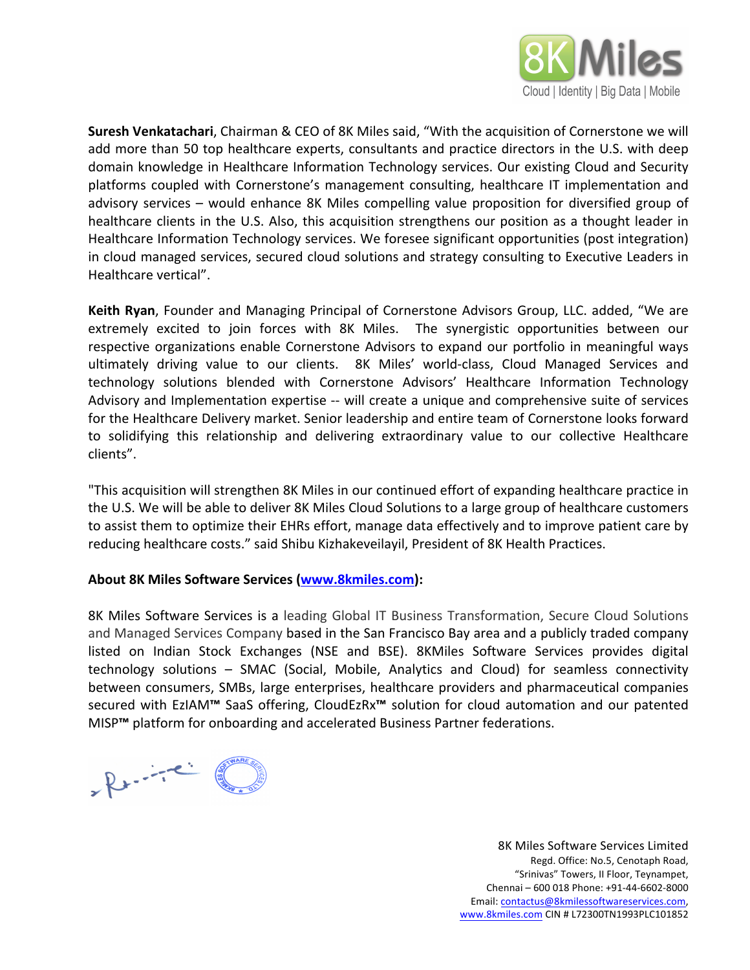

**Suresh Venkatachari**, Chairman & CEO of 8K Miles said, "With the acquisition of Cornerstone we will add more than 50 top healthcare experts, consultants and practice directors in the U.S. with deep domain knowledge in Healthcare Information Technology services. Our existing Cloud and Security platforms coupled with Cornerstone's management consulting, healthcare IT implementation and advisory services – would enhance 8K Miles compelling value proposition for diversified group of healthcare clients in the U.S. Also, this acquisition strengthens our position as a thought leader in Healthcare Information Technology services. We foresee significant opportunities (post integration) in cloud managed services, secured cloud solutions and strategy consulting to Executive Leaders in Healthcare vertical".

**Keith Ryan**, Founder and Managing Principal of Cornerstone Advisors Group, LLC. added, "We are extremely excited to join forces with 8K Miles. The synergistic opportunities between our respective organizations enable Cornerstone Advisors to expand our portfolio in meaningful ways ultimately driving value to our clients. 8K Miles' world-class, Cloud Managed Services and technology solutions blended with Cornerstone Advisors' Healthcare Information Technology Advisory and Implementation expertise -- will create a unique and comprehensive suite of services for the Healthcare Delivery market. Senior leadership and entire team of Cornerstone looks forward to solidifying this relationship and delivering extraordinary value to our collective Healthcare clients".

"This acquisition will strengthen 8K Miles in our continued effort of expanding healthcare practice in the U.S. We will be able to deliver 8K Miles Cloud Solutions to a large group of healthcare customers to assist them to optimize their EHRs effort, manage data effectively and to improve patient care by reducing healthcare costs." said Shibu Kizhakeveilayil, President of 8K Health Practices.

## About 8K Miles Software Services (www.8kmiles.com):

8K Miles Software Services is a leading Global IT Business Transformation, Secure Cloud Solutions and Managed Services Company based in the San Francisco Bay area and a publicly traded company listed on Indian Stock Exchanges (NSE and BSE). 8KMiles Software Services provides digital technology solutions – SMAC (Social, Mobile, Analytics and Cloud) for seamless connectivity between consumers, SMBs, large enterprises, healthcare providers and pharmaceutical companies secured with EzIAM<sup>™</sup> SaaS offering, CloudEzRx<sup>™</sup> solution for cloud automation and our patented MISP<sup>™</sup> platform for onboarding and accelerated Business Partner federations.

 $R + \frac{1}{2}$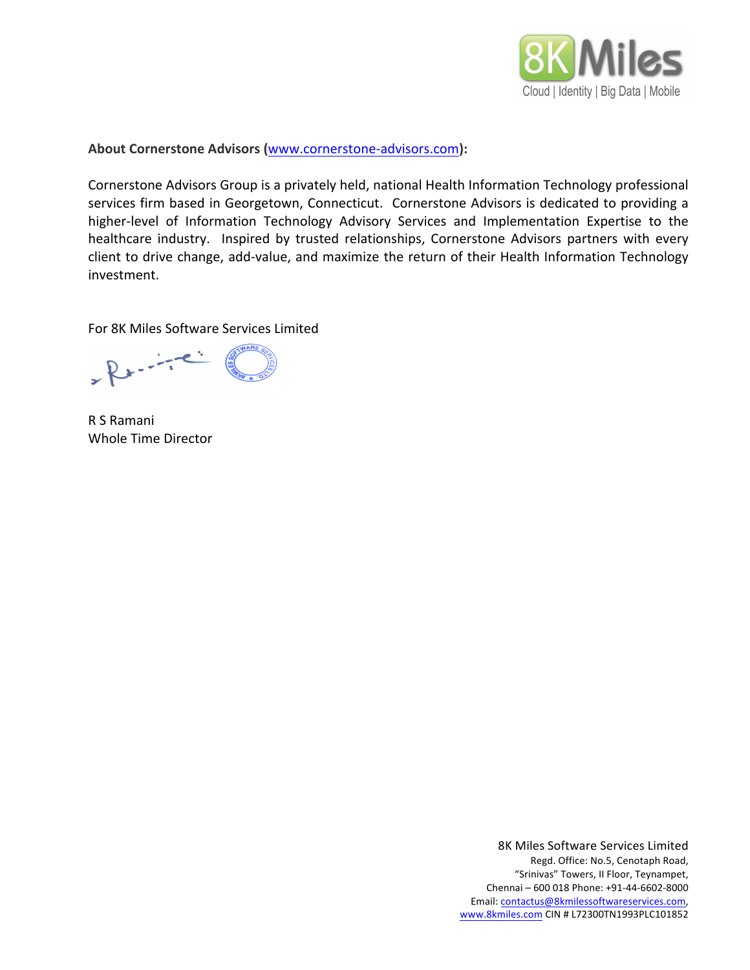

**About Cornerstone Advisors (**www.cornerstone-advisors.com**):**

Cornerstone Advisors Group is a privately held, national Health Information Technology professional services firm based in Georgetown, Connecticut. Cornerstone Advisors is dedicated to providing a higher-level of Information Technology Advisory Services and Implementation Expertise to the healthcare industry. Inspired by trusted relationships, Cornerstone Advisors partners with every client to drive change, add-value, and maximize the return of their Health Information Technology investment. 

For 8K Miles Software Services Limited

 $R$ 

R S Ramani Whole Time Director

8K Miles Software Services Limited Regd. Office: No.5, Cenotaph Road, "Srinivas" Towers, II Floor, Teynampet, Chennai - 600 018 Phone: +91-44-6602-8000 Email: contactus@8kmilessoftwareservices.com, www.8kmiles.com CIN # L72300TN1993PLC101852